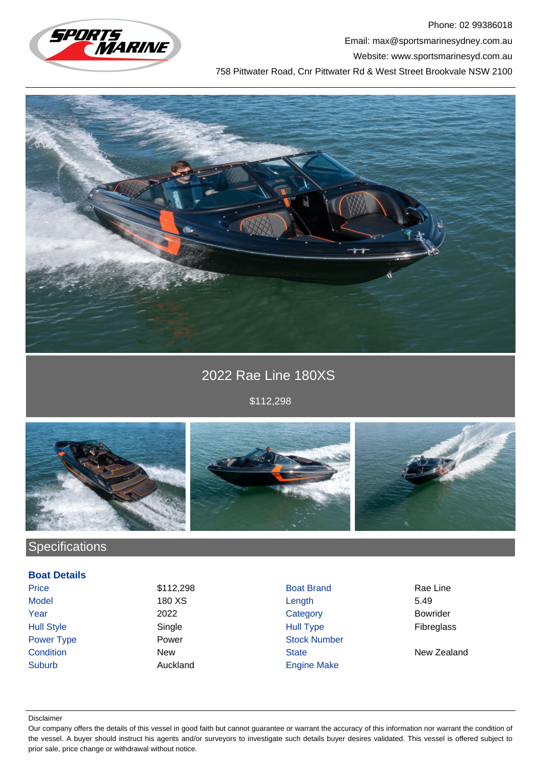

Phone: 02 99386018 Email: max@sportsmarinesydney.com.au Website: www.sportsmarinesyd.com.au 758 Pittwater Road, Cnr Pittwater Rd & West Street Brookvale NSW 2100



# 2022 Rae Line 180XS

\$112,298



# **Specifications**

### **Boat Details**

Suburb **Auckland** Engine Make

Price \$112,298 Boat Brand Rae Line Model 180 XS Length 5.49 Year 2022 Category Bowrider Hull Style Single Hull Type Fibreglass Power Type **Power Power Stock Number Condition** New New State State New Zealand

#### Disclaimer

Our company offers the details of this vessel in good faith but cannot guarantee or warrant the accuracy of this information nor warrant the condition of the vessel. A buyer should instruct his agents and/or surveyors to investigate such details buyer desires validated. This vessel is offered subject to prior sale, price change or withdrawal without notice.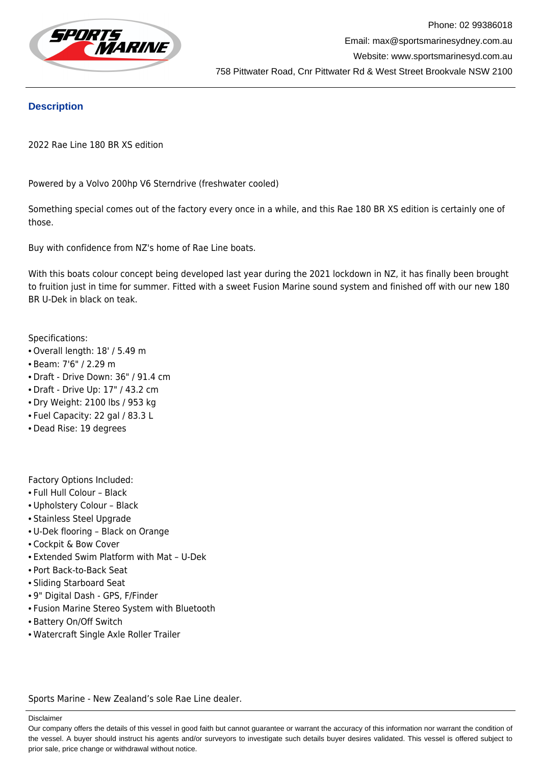

### **Description**

2022 Rae Line 180 BR XS edition

Powered by a Volvo 200hp V6 Sterndrive (freshwater cooled)

Something special comes out of the factory every once in a while, and this Rae 180 BR XS edition is certainly one of those.

Buy with confidence from NZ's home of Rae Line boats.

With this boats colour concept being developed last year during the 2021 lockdown in NZ, it has finally been brought to fruition just in time for summer. Fitted with a sweet Fusion Marine sound system and finished off with our new 180 BR U-Dek in black on teak.

Specifications:

- Overall length: 18' / 5.49 m
- Beam: 7'6" / 2.29 m
- Draft Drive Down: 36" / 91.4 cm
- Draft Drive Up: 17" / 43.2 cm
- Dry Weight: 2100 lbs / 953 kg
- Fuel Capacity: 22 gal / 83.3 L
- Dead Rise: 19 degrees

Factory Options Included:

- Full Hull Colour Black
- Upholstery Colour Black
- Stainless Steel Upgrade
- U-Dek flooring Black on Orange
- Cockpit & Bow Cover
- Extended Swim Platform with Mat U-Dek
- Port Back-to-Back Seat
- Sliding Starboard Seat
- 9" Digital Dash GPS, F/Finder
- Fusion Marine Stereo System with Bluetooth
- Battery On/Off Switch
- Watercraft Single Axle Roller Trailer

Sports Marine - New Zealand's sole Rae Line dealer.

Disclaimer

Our company offers the details of this vessel in good faith but cannot guarantee or warrant the accuracy of this information nor warrant the condition of the vessel. A buyer should instruct his agents and/or surveyors to investigate such details buyer desires validated. This vessel is offered subject to prior sale, price change or withdrawal without notice.